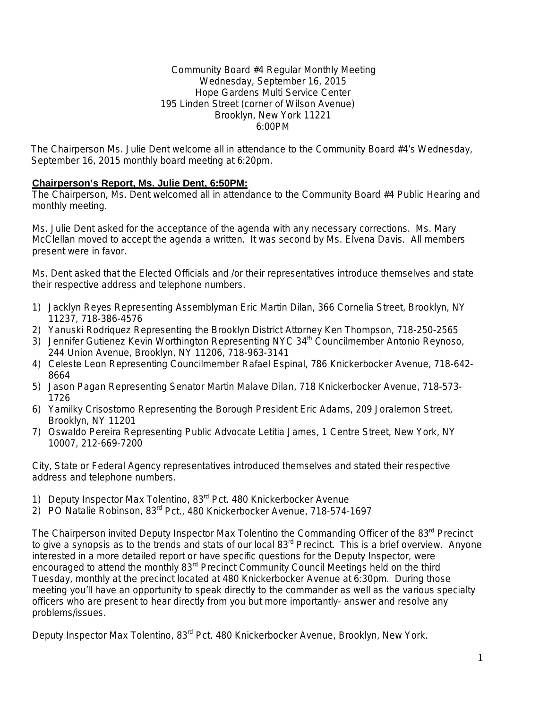### Community Board #4 Regular Monthly Meeting Wednesday, September 16, 2015 Hope Gardens Multi Service Center 195 Linden Street (corner of Wilson Avenue) Brooklyn, New York 11221 6:00PM

The Chairperson Ms. Julie Dent welcome all in attendance to the Community Board #4's Wednesday, September 16, 2015 monthly board meeting at 6:20pm.

## **Chairperson's Report, Ms. Julie Dent, 6:50PM:**

The Chairperson, Ms. Dent welcomed all in attendance to the Community Board #4 Public Hearing and monthly meeting.

Ms. Julie Dent asked for the acceptance of the agenda with any necessary corrections. Ms. Mary McClellan moved to accept the agenda a written. It was second by Ms. Elvena Davis. All members present were in favor.

Ms. Dent asked that the Elected Officials and /or their representatives introduce themselves and state their respective address and telephone numbers.

- 1) Jacklyn Reyes Representing Assemblyman Eric Martin Dilan, 366 Cornelia Street, Brooklyn, NY 11237, 718-386-4576
- 2) Yanuski Rodriquez Representing the Brooklyn District Attorney Ken Thompson, 718-250-2565
- 3) Jennifer Gutienez Kevin Worthington Representing NYC 34<sup>th</sup> Councilmember Antonio Reynoso, 244 Union Avenue, Brooklyn, NY 11206, 718-963-3141
- 4) Celeste Leon Representing Councilmember Rafael Espinal, 786 Knickerbocker Avenue, 718-642- 8664
- 5) Jason Pagan Representing Senator Martin Malave Dilan, 718 Knickerbocker Avenue, 718-573- 1726
- 6) Yamilky Crisostomo Representing the Borough President Eric Adams, 209 Joralemon Street, Brooklyn, NY 11201
- 7) Oswaldo Pereira Representing Public Advocate Letitia James, 1 Centre Street, New York, NY 10007, 212-669-7200

City, State or Federal Agency representatives introduced themselves and stated their respective address and telephone numbers.

- 1) Deputy Inspector Max Tolentino, 83<sup>rd</sup> Pct. 480 Knickerbocker Avenue
- 2) PO Natalie Robinson, 83<sup>rd</sup> Pct., 480 Knickerbocker Avenue, 718-574-1697

The Chairperson invited Deputy Inspector Max Tolentino the Commanding Officer of the 83<sup>rd</sup> Precinct to give a synopsis as to the trends and stats of our local  $83<sup>rd</sup>$  Precinct. This is a brief overview. Anyone interested in a more detailed report or have specific questions for the Deputy Inspector, were encouraged to attend the monthly 83<sup>rd</sup> Precinct Community Council Meetings held on the third Tuesday, monthly at the precinct located at 480 Knickerbocker Avenue at 6:30pm. During those meeting you'll have an opportunity to speak directly to the commander as well as the various specialty officers who are present to hear directly from you but more importantly- answer and resolve any problems/issues.

Deputy Inspector Max Tolentino, 83<sup>rd</sup> Pct, 480 Knickerbocker Avenue, Brooklyn, New York.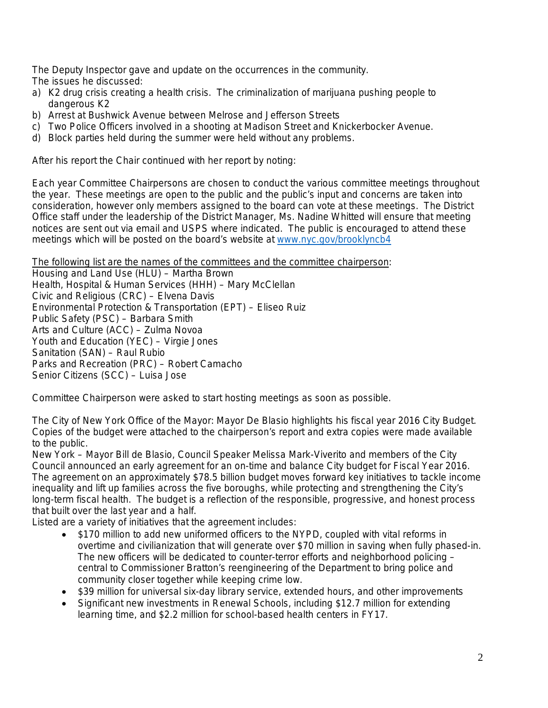The Deputy Inspector gave and update on the occurrences in the community. The issues he discussed:

- a) K2 drug crisis creating a health crisis. The criminalization of marijuana pushing people to dangerous K2
- b) Arrest at Bushwick Avenue between Melrose and Jefferson Streets
- c) Two Police Officers involved in a shooting at Madison Street and Knickerbocker Avenue.
- d) Block parties held during the summer were held without any problems.

After his report the Chair continued with her report by noting:

Each year Committee Chairpersons are chosen to conduct the various committee meetings throughout the year. These meetings are open to the public and the public's input and concerns are taken into consideration, however only members assigned to the board can vote at these meetings. The District Office staff under the leadership of the District Manager, Ms. Nadine Whitted will ensure that meeting notices are sent out via email and USPS where indicated. The public is encouraged to attend these meetings which will be posted on the board's website at [www.nyc.gov/brooklyncb4](http://www.nyc.gov/brooklyncb4)

The following list are the names of the committees and the committee chairperson:

Housing and Land Use (HLU) – Martha Brown Health, Hospital & Human Services (HHH) – Mary McClellan Civic and Religious (CRC) – Elvena Davis Environmental Protection & Transportation (EPT) – Eliseo Ruiz Public Safety (PSC) – Barbara Smith Arts and Culture (ACC) – Zulma Novoa Youth and Education (YEC) – Virgie Jones Sanitation (SAN) – Raul Rubio Parks and Recreation (PRC) – Robert Camacho Senior Citizens (SCC) – Luisa Jose

Committee Chairperson were asked to start hosting meetings as soon as possible.

The City of New York Office of the Mayor: Mayor De Blasio highlights his fiscal year 2016 City Budget. Copies of the budget were attached to the chairperson's report and extra copies were made available to the public.

New York – Mayor Bill de Blasio, Council Speaker Melissa Mark-Viverito and members of the City Council announced an early agreement for an on-time and balance City budget for Fiscal Year 2016. The agreement on an approximately \$78.5 billion budget moves forward key initiatives to tackle income inequality and lift up families across the five boroughs, while protecting and strengthening the City's long-term fiscal health. The budget is a reflection of the responsible, progressive, and honest process that built over the last year and a half.

Listed are a variety of initiatives that the agreement includes:

- \$170 million to add new uniformed officers to the NYPD, coupled with vital reforms in overtime and civilianization that will generate over \$70 million in saving when fully phased-in. The new officers will be dedicated to counter-terror efforts and neighborhood policing – central to Commissioner Bratton's reengineering of the Department to bring police and community closer together while keeping crime low.
- \$39 million for universal six-day library service, extended hours, and other improvements
- Significant new investments in Renewal Schools, including \$12.7 million for extending learning time, and \$2.2 million for school-based health centers in FY17.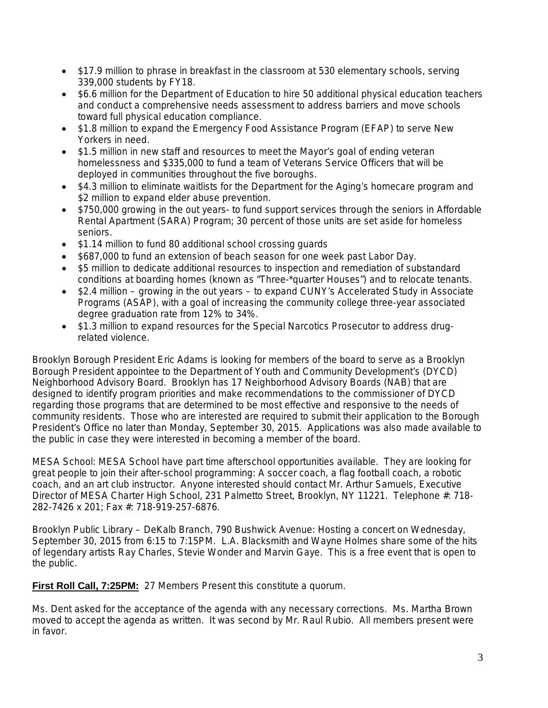- \$17.9 million to phrase in breakfast in the classroom at 530 elementary schools, serving 339,000 students by FY18.
- \$6.6 million for the Department of Education to hire 50 additional physical education teachers and conduct a comprehensive needs assessment to address barriers and move schools toward full physical education compliance.
- \$1.8 million to expand the Emergency Food Assistance Program (EFAP) to serve New Yorkers in need.
- \$1.5 million in new staff and resources to meet the Mayor's goal of ending veteran homelessness and \$335,000 to fund a team of Veterans Service Officers that will be deployed in communities throughout the five boroughs.
- \$4.3 million to eliminate waitlists for the Department for the Aging's homecare program and \$2 million to expand elder abuse prevention.
- \$750,000 growing in the out years- to fund support services through the seniors in Affordable Rental Apartment (SARA) Program; 30 percent of those units are set aside for homeless seniors.
- \$1.14 million to fund 80 additional school crossing quards
- \$687,000 to fund an extension of beach season for one week past Labor Day.
- \$5 million to dedicate additional resources to inspection and remediation of substandard conditions at boarding homes (known as "Three-\*quarter Houses") and to relocate tenants.
- \$2.4 million growing in the out years to expand CUNY's Accelerated Study in Associate Programs (ASAP), with a goal of increasing the community college three-year associated degree graduation rate from 12% to 34%.
- \$1.3 million to expand resources for the Special Narcotics Prosecutor to address drugrelated violence.

Brooklyn Borough President Eric Adams is looking for members of the board to serve as a Brooklyn Borough President appointee to the Department of Youth and Community Development's (DYCD) Neighborhood Advisory Board. Brooklyn has 17 Neighborhood Advisory Boards (NAB) that are designed to identify program priorities and make recommendations to the commissioner of DYCD regarding those programs that are determined to be most effective and responsive to the needs of community residents. Those who are interested are required to submit their application to the Borough President's Office no later than Monday, September 30, 2015. Applications was also made available to the public in case they were interested in becoming a member of the board.

MESA School: MESA School have part time afterschool opportunities available. They are looking for great people to join their after-school programming: A soccer coach, a flag football coach, a robotic coach, and an art club instructor. Anyone interested should contact Mr. Arthur Samuels, Executive Director of MESA Charter High School, 231 Palmetto Street, Brooklyn, NY 11221. Telephone #: 718- 282-7426 x 201; Fax #: 718-919-257-6876.

Brooklyn Public Library – DeKalb Branch, 790 Bushwick Avenue: Hosting a concert on Wednesday, September 30, 2015 from 6:15 to 7:15PM. L.A. Blacksmith and Wayne Holmes share some of the hits of legendary artists Ray Charles, Stevie Wonder and Marvin Gaye. This is a free event that is open to the public.

**First Roll Call, 7:25PM:** 27 Members Present this constitute a quorum.

Ms. Dent asked for the acceptance of the agenda with any necessary corrections. Ms. Martha Brown moved to accept the agenda as written. It was second by Mr. Raul Rubio. All members present were in favor.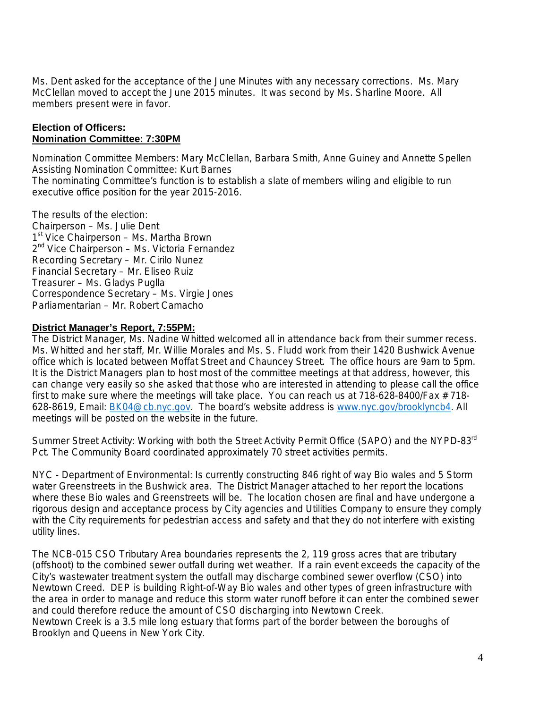Ms. Dent asked for the acceptance of the June Minutes with any necessary corrections. Ms. Mary McClellan moved to accept the June 2015 minutes. It was second by Ms. Sharline Moore. All members present were in favor.

### **Election of Officers: Nomination Committee: 7:30PM**

Nomination Committee Members: Mary McClellan, Barbara Smith, Anne Guiney and Annette Spellen Assisting Nomination Committee: Kurt Barnes The nominating Committee's function is to establish a slate of members wiling and eligible to run executive office position for the year 2015-2016.

The results of the election: Chairperson – Ms. Julie Dent 1<sup>st</sup> Vice Chairperson – Ms. Martha Brown 2<sup>nd</sup> Vice Chairperson – Ms. Victoria Fernandez Recording Secretary – Mr. Cirilo Nunez Financial Secretary – Mr. Eliseo Ruiz Treasurer – Ms. Gladys Puglla Correspondence Secretary – Ms. Virgie Jones Parliamentarian – Mr. Robert Camacho

## **District Manager's Report, 7:55PM:**

The District Manager, Ms. Nadine Whitted welcomed all in attendance back from their summer recess. Ms. Whitted and her staff, Mr. Willie Morales and Ms. S. Fludd work from their 1420 Bushwick Avenue office which is located between Moffat Street and Chauncey Street. The office hours are 9am to 5pm. It is the District Managers plan to host most of the committee meetings at that address, however, this can change very easily so she asked that those who are interested in attending to please call the office first to make sure where the meetings will take place. You can reach us at 718-628-8400/Fax # 718- 628-8619, Email: **BK04@cb.nyc.gov.** The board's website address is [www.nyc.gov/brooklyncb4.](http://www.nyc.gov/brooklyncb4) All meetings will be posted on the website in the future.

Summer Street Activity: Working with both the Street Activity Permit Office (SAPO) and the NYPD-83<sup>rd</sup> Pct. The Community Board coordinated approximately 70 street activities permits.

NYC - Department of Environmental: Is currently constructing 846 right of way Bio wales and 5 Storm water Greenstreets in the Bushwick area. The District Manager attached to her report the locations where these Bio wales and Greenstreets will be. The location chosen are final and have undergone a rigorous design and acceptance process by City agencies and Utilities Company to ensure they comply with the City requirements for pedestrian access and safety and that they do not interfere with existing utility lines.

The NCB-015 CSO Tributary Area boundaries represents the 2, 119 gross acres that are tributary (offshoot) to the combined sewer outfall during wet weather. If a rain event exceeds the capacity of the City's wastewater treatment system the outfall may discharge combined sewer overflow (CSO) into Newtown Creed. DEP is building Right-of-Way Bio wales and other types of green infrastructure with the area in order to manage and reduce this storm water runoff before it can enter the combined sewer and could therefore reduce the amount of CSO discharging into Newtown Creek.

Newtown Creek is a 3.5 mile long estuary that forms part of the border between the boroughs of Brooklyn and Queens in New York City.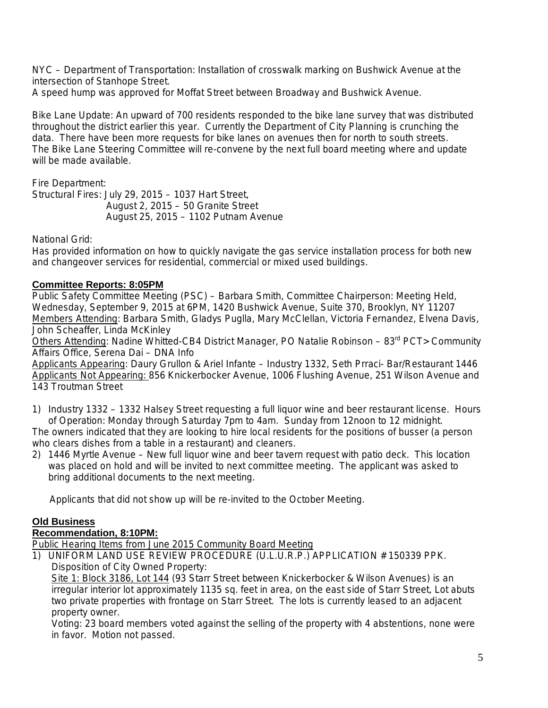NYC – Department of Transportation: Installation of crosswalk marking on Bushwick Avenue at the intersection of Stanhope Street.

A speed hump was approved for Moffat Street between Broadway and Bushwick Avenue.

Bike Lane Update: An upward of 700 residents responded to the bike lane survey that was distributed throughout the district earlier this year. Currently the Department of City Planning is crunching the data. There have been more requests for bike lanes on avenues then for north to south streets. The Bike Lane Steering Committee will re-convene by the next full board meeting where and update will be made available.

Fire Department:

Structural Fires: July 29, 2015 – 1037 Hart Street, August 2, 2015 – 50 Granite Street August 25, 2015 – 1102 Putnam Avenue

National Grid:

Has provided information on how to quickly navigate the gas service installation process for both new and changeover services for residential, commercial or mixed used buildings.

## **Committee Reports: 8:05PM**

Public Safety Committee Meeting (PSC) – Barbara Smith, Committee Chairperson: Meeting Held, Wednesday, September 9, 2015 at 6PM, 1420 Bushwick Avenue, Suite 370, Brooklyn, NY 11207 Members Attending: Barbara Smith, Gladys Puglla, Mary McClellan, Victoria Fernandez, Elvena Davis, John Scheaffer, Linda McKinley

Others Attending: Nadine Whitted-CB4 District Manager, PO Natalie Robinson – 83<sup>rd</sup> PCT> Community Affairs Office, Serena Dai – DNA Info

Applicants Appearing: Daury Grullon & Ariel Infante – Industry 1332, Seth Prraci- Bar/Restaurant 1446 Applicants Not Appearing: 856 Knickerbocker Avenue, 1006 Flushing Avenue, 251 Wilson Avenue and 143 Troutman Street

1) Industry 1332 – 1332 Halsey Street requesting a full liquor wine and beer restaurant license. Hours of Operation: Monday through Saturday 7pm to 4am. Sunday from 12noon to 12 midnight.

The owners indicated that they are looking to hire local residents for the positions of busser (a person who clears dishes from a table in a restaurant) and cleaners.

2) 1446 Myrtle Avenue – New full liquor wine and beer tavern request with patio deck. This location was placed on hold and will be invited to next committee meeting. The applicant was asked to bring additional documents to the next meeting.

Applicants that did not show up will be re-invited to the October Meeting.

# **Old Business**

# **Recommendation, 8:10PM:**

Public Hearing Items from June 2015 Community Board Meeting

1) UNIFORM LAND USE REVIEW PROCEDURE (U.L.U.R.P.) APPLICATION # 150339 PPK. Disposition of City Owned Property:

Site 1: Block 3186, Lot 144 (93 Starr Street between Knickerbocker & Wilson Avenues) is an irregular interior lot approximately 1135 sq. feet in area, on the east side of Starr Street, Lot abuts two private properties with frontage on Starr Street. The lots is currently leased to an adjacent property owner.

Voting: 23 board members voted against the selling of the property with 4 abstentions, none were in favor. Motion not passed.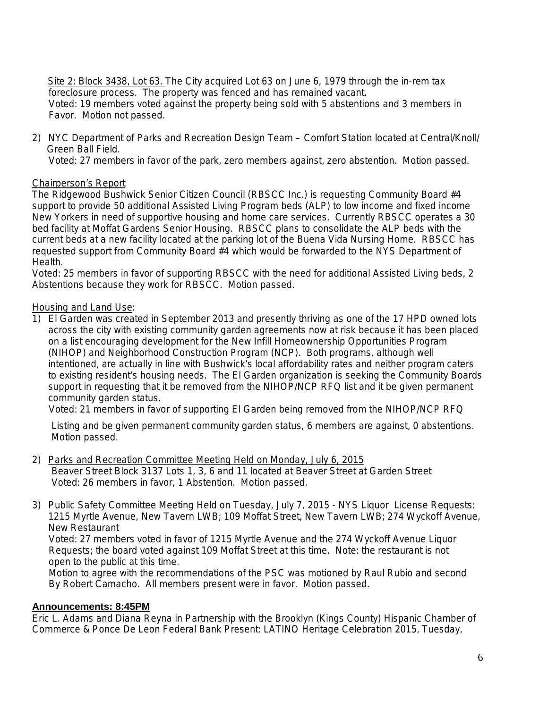Site 2: Block 3438, Lot 63. The City acquired Lot 63 on June 6, 1979 through the in-rem tax foreclosure process. The property was fenced and has remained vacant. Voted: 19 members voted against the property being sold with 5 abstentions and 3 members in Favor. Motion not passed.

2) NYC Department of Parks and Recreation Design Team – Comfort Station located at Central/Knoll/ Green Ball Field.

Voted: 27 members in favor of the park, zero members against, zero abstention. Motion passed.

### Chairperson's Report

The Ridgewood Bushwick Senior Citizen Council (RBSCC Inc.) is requesting Community Board #4 support to provide 50 additional Assisted Living Program beds (ALP) to low income and fixed income New Yorkers in need of supportive housing and home care services. Currently RBSCC operates a 30 bed facility at Moffat Gardens Senior Housing. RBSCC plans to consolidate the ALP beds with the current beds at a new facility located at the parking lot of the Buena Vida Nursing Home. RBSCC has requested support from Community Board #4 which would be forwarded to the NYS Department of Health.

Voted: 25 members in favor of supporting RBSCC with the need for additional Assisted Living beds, 2 Abstentions because they work for RBSCC. Motion passed.

Housing and Land Use:

1) El Garden was created in September 2013 and presently thriving as one of the 17 HPD owned lots across the city with existing community garden agreements now at risk because it has been placed on a list encouraging development for the New Infill Homeownership Opportunities Program (NIHOP) and Neighborhood Construction Program (NCP). Both programs, although well intentioned, are actually in line with Bushwick's local affordability rates and neither program caters to existing resident's housing needs. The El Garden organization is seeking the Community Boards support in requesting that it be removed from the NIHOP/NCP RFQ list and it be given permanent community garden status.

Voted: 21 members in favor of supporting El Garden being removed from the NIHOP/NCP RFQ

Listing and be given permanent community garden status, 6 members are against, 0 abstentions. Motion passed.

- 2) Parks and Recreation Committee Meeting Held on Monday, July 6, 2015 Beaver Street Block 3137 Lots 1, 3, 6 and 11 located at Beaver Street at Garden Street Voted: 26 members in favor, 1 Abstention. Motion passed.
- 3) Public Safety Committee Meeting Held on Tuesday, July 7, 2015 NYS Liquor License Requests: 1215 Myrtle Avenue, New Tavern LWB; 109 Moffat Street, New Tavern LWB; 274 Wyckoff Avenue, New Restaurant

 Voted: 27 members voted in favor of 1215 Myrtle Avenue and the 274 Wyckoff Avenue Liquor Requests; the board voted against 109 Moffat Street at this time. Note: the restaurant is not open to the public at this time.

 Motion to agree with the recommendations of the PSC was motioned by Raul Rubio and second By Robert Camacho. All members present were in favor. Motion passed.

#### **Announcements: 8:45PM**

Eric L. Adams and Diana Reyna in Partnership with the Brooklyn (Kings County) Hispanic Chamber of Commerce & Ponce De Leon Federal Bank Present: LATINO Heritage Celebration 2015, Tuesday,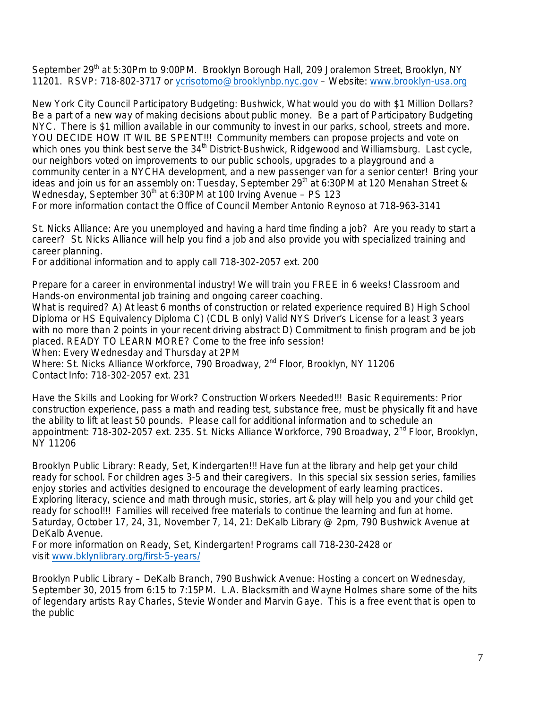September 29<sup>th</sup> at 5:30Pm to 9:00PM. Brooklyn Borough Hall, 209 Joralemon Street, Brooklyn, NY 11201. RSVP: 718-802-3717 or [ycrisotomo@brooklynbp.nyc.gov](mailto:ycrisotomo@brooklynbp.nyc.gov) - Website: [www.brooklyn-usa.org](http://www.brooklyn-usa.org/)

New York City Council Participatory Budgeting: Bushwick, What would you do with \$1 Million Dollars? Be a part of a new way of making decisions about public money. Be a part of Participatory Budgeting NYC. There is \$1 million available in our community to invest in our parks, school, streets and more. YOU DECIDE HOW IT WIL BE SPENT!!! Community members can propose projects and vote on which ones you think best serve the  $34<sup>th</sup>$  District-Bushwick, Ridgewood and Williamsburg. Last cycle, our neighbors voted on improvements to our public schools, upgrades to a playground and a community center in a NYCHA development, and a new passenger van for a senior center! Bring your ideas and join us for an assembly on: Tuesday, September 29<sup>th</sup> at 6:30PM at 120 Menahan Street & Wednesday, September  $30<sup>th</sup>$  at 6:30PM at 100 Irving Avenue – PS 123 For more information contact the Office of Council Member Antonio Reynoso at 718-963-3141

St. Nicks Alliance: Are you unemployed and having a hard time finding a job? Are you ready to start a career? St. Nicks Alliance will help you find a job and also provide you with specialized training and career planning.

For additional information and to apply call 718-302-2057 ext. 200

Prepare for a career in environmental industry! We will train you FREE in 6 weeks! Classroom and Hands-on environmental job training and ongoing career coaching.

What is required? A) At least 6 months of construction or related experience required B) High School Diploma or HS Equivalency Diploma C) (CDL B only) Valid NYS Driver's License for a least 3 years with no more than 2 points in your recent driving abstract D) Commitment to finish program and be job placed. READY TO LEARN MORE? Come to the free info session!

When: Every Wednesday and Thursday at 2PM

Where: St. Nicks Alliance Workforce, 790 Broadway, 2<sup>nd</sup> Floor, Brooklyn, NY 11206 Contact Info: 718-302-2057 ext. 231

Have the Skills and Looking for Work? Construction Workers Needed!!! Basic Requirements: Prior construction experience, pass a math and reading test, substance free, must be physically fit and have the ability to lift at least 50 pounds. Please call for additional information and to schedule an appointment: 718-302-2057 ext. 235. St. Nicks Alliance Workforce, 790 Broadway, 2<sup>nd</sup> Floor, Brooklyn, NY 11206

Brooklyn Public Library: Ready, Set, Kindergarten!!! Have fun at the library and help get your child ready for school. For children ages 3-5 and their caregivers. In this special six session series, families enjoy stories and activities designed to encourage the development of early learning practices. Exploring literacy, science and math through music, stories, art & play will help you and your child get ready for school!!! Families will received free materials to continue the learning and fun at home. Saturday, October 17, 24, 31, November 7, 14, 21: DeKalb Library @ 2pm, 790 Bushwick Avenue at DeKalb Avenue.

For more information on Ready, Set, Kindergarten! Programs call 718-230-2428 or visit [www.bklynlibrary.org/first-5-years/](http://www.bklynlibrary.org/first-5-years/) 

Brooklyn Public Library – DeKalb Branch, 790 Bushwick Avenue: Hosting a concert on Wednesday, September 30, 2015 from 6:15 to 7:15PM. L.A. Blacksmith and Wayne Holmes share some of the hits of legendary artists Ray Charles, Stevie Wonder and Marvin Gaye. This is a free event that is open to the public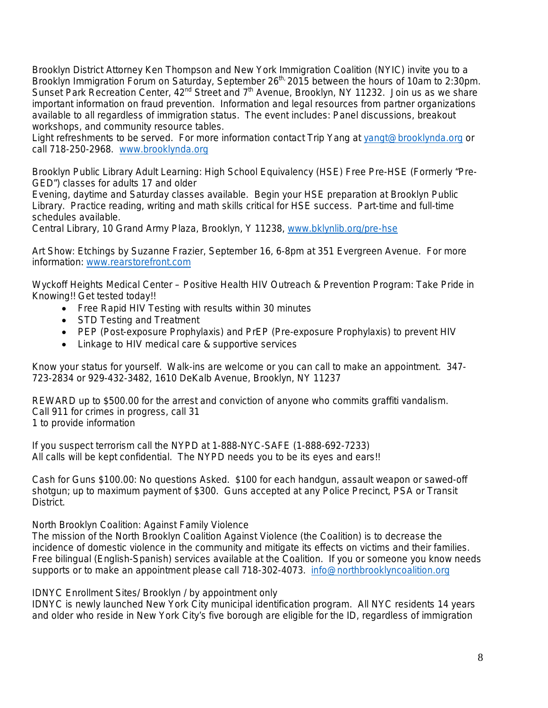Brooklyn District Attorney Ken Thompson and New York Immigration Coalition (NYIC) invite you to a Brooklyn Immigration Forum on Saturday, September 26<sup>th,</sup> 2015 between the hours of 10am to 2:30pm. Sunset Park Recreation Center, 42<sup>nd</sup> Street and 7<sup>th</sup> Avenue, Brooklyn, NY 11232. Join us as we share important information on fraud prevention. Information and legal resources from partner organizations available to all regardless of immigration status. The event includes: Panel discussions, breakout workshops, and community resource tables.

Light refreshments to be served. For more information contact Trip Yang at [yangt@brooklynda.org](mailto:yangt@brooklynda.org) or call 718-250-2968. [www.brooklynda.org](http://www.brooklynda.org/)

Brooklyn Public Library Adult Learning: High School Equivalency (HSE) Free Pre-HSE (Formerly "Pre-GED") classes for adults 17 and older

Evening, daytime and Saturday classes available. Begin your HSE preparation at Brooklyn Public Library. Practice reading, writing and math skills critical for HSE success. Part-time and full-time schedules available.

Central Library, 10 Grand Army Plaza, Brooklyn, Y 11238, [www.bklynlib.org/pre-hse](http://www.bklynlib.org/pre-hse) 

Art Show: Etchings by Suzanne Frazier, September 16, 6-8pm at 351 Evergreen Avenue. For more information: [www.rearstorefront.com](http://www.rearstorefront.com/)

Wyckoff Heights Medical Center – Positive Health HIV Outreach & Prevention Program: Take Pride in Knowing!! Get tested today!!

- Free Rapid HIV Testing with results within 30 minutes
- STD Testing and Treatment
- PEP (Post-exposure Prophylaxis) and PrEP (Pre-exposure Prophylaxis) to prevent HIV
- Linkage to HIV medical care & supportive services

Know your status for yourself. Walk-ins are welcome or you can call to make an appointment. 347- 723-2834 or 929-432-3482, 1610 DeKalb Avenue, Brooklyn, NY 11237

REWARD up to \$500.00 for the arrest and conviction of anyone who commits graffiti vandalism. Call 911 for crimes in progress, call 31 1 to provide information

If you suspect terrorism call the NYPD at 1-888-NYC-SAFE (1-888-692-7233) All calls will be kept confidential. The NYPD needs you to be its eyes and ears!!

Cash for Guns \$100.00: No questions Asked. \$100 for each handgun, assault weapon or sawed-off shotgun; up to maximum payment of \$300. Guns accepted at any Police Precinct, PSA or Transit District.

North Brooklyn Coalition: Against Family Violence

The mission of the North Brooklyn Coalition Against Violence (the Coalition) is to decrease the incidence of domestic violence in the community and mitigate its effects on victims and their families. Free bilingual (English-Spanish) services available at the Coalition. If you or someone you know needs supports or to make an appointment please call 718-302-4073. info@northbrooklyncoalition.org

IDNYC Enrollment Sites/ Brooklyn / by appointment only

IDNYC is newly launched New York City municipal identification program. All NYC residents 14 years and older who reside in New York City's five borough are eligible for the ID, regardless of immigration